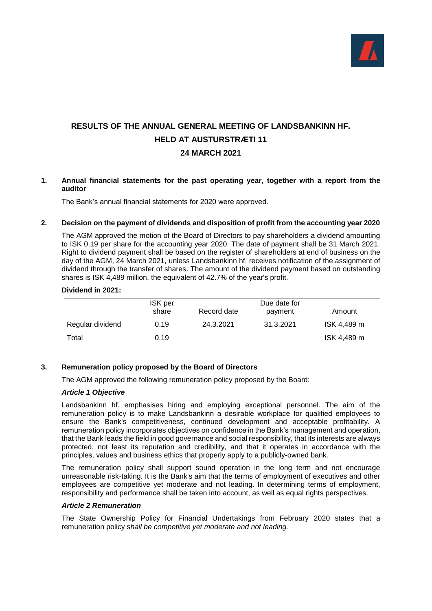

# **RESULTS OF THE ANNUAL GENERAL MEETING OF LANDSBANKINN HF. HELD AT AUSTURSTRÆTI 11 24 MARCH 2021**

## **1. Annual financial statements for the past operating year, together with a report from the auditor**

The Bank's annual financial statements for 2020 were approved.

## **2. Decision on the payment of dividends and disposition of profit from the accounting year 2020**

The AGM approved the motion of the Board of Directors to pay shareholders a dividend amounting to ISK 0.19 per share for the accounting year 2020. The date of payment shall be 31 March 2021. Right to dividend payment shall be based on the register of shareholders at end of business on the day of the AGM, 24 March 2021, unless Landsbankinn hf. receives notification of the assignment of dividend through the transfer of shares. The amount of the dividend payment based on outstanding shares is ISK 4,489 million, the equivalent of 42.7% of the year's profit.

#### **Dividend in 2021:**

|                  | <b>ISK</b> per<br>share | Record date | Due date for<br>payment | Amount      |
|------------------|-------------------------|-------------|-------------------------|-------------|
| Regular dividend | 0.19                    | 24.3.2021   | 31.3.2021               | ISK 4,489 m |
| Total            | 0.19                    |             |                         | ISK 4.489 m |

#### **3. Remuneration policy proposed by the Board of Directors**

The AGM approved the following remuneration policy proposed by the Board:

#### *Article 1 Objective*

Landsbankinn hf. emphasises hiring and employing exceptional personnel. The aim of the remuneration policy is to make Landsbankinn a desirable workplace for qualified employees to ensure the Bank's competitiveness, continued development and acceptable profitability. A remuneration policy incorporates objectives on confidence in the Bank's management and operation, that the Bank leads the field in good governance and social responsibility, that its interests are always protected, not least its reputation and credibility, and that it operates in accordance with the principles, values and business ethics that properly apply to a publicly-owned bank.

The remuneration policy shall support sound operation in the long term and not encourage unreasonable risk-taking. It is the Bank's aim that the terms of employment of executives and other employees are competitive yet moderate and not leading. In determining terms of employment, responsibility and performance shall be taken into account, as well as equal rights perspectives.

## *Article 2 Remuneration*

The State Ownership Policy for Financial Undertakings from February 2020 states that a remuneration policy s*hall be competitive yet moderate and not leading.*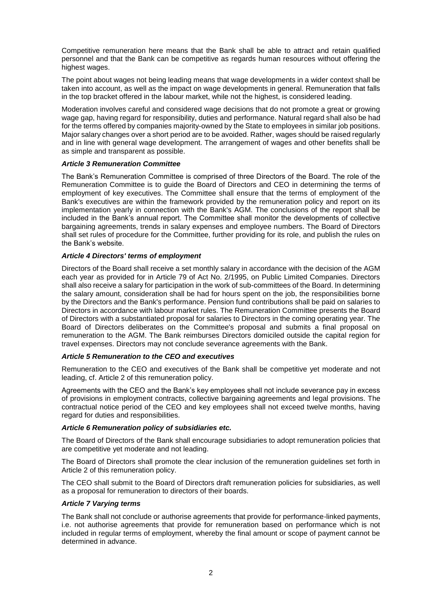Competitive remuneration here means that the Bank shall be able to attract and retain qualified personnel and that the Bank can be competitive as regards human resources without offering the highest wages.

The point about wages not being leading means that wage developments in a wider context shall be taken into account, as well as the impact on wage developments in general. Remuneration that falls in the top bracket offered in the labour market, while not the highest, is considered leading.

Moderation involves careful and considered wage decisions that do not promote a great or growing wage gap, having regard for responsibility, duties and performance. Natural regard shall also be had for the terms offered by companies majority-owned by the State to employees in similar job positions. Major salary changes over a short period are to be avoided. Rather, wages should be raised regularly and in line with general wage development. The arrangement of wages and other benefits shall be as simple and transparent as possible.

#### *Article 3 Remuneration Committee*

The Bank's Remuneration Committee is comprised of three Directors of the Board. The role of the Remuneration Committee is to guide the Board of Directors and CEO in determining the terms of employment of key executives. The Committee shall ensure that the terms of employment of the Bank's executives are within the framework provided by the remuneration policy and report on its implementation yearly in connection with the Bank's AGM. The conclusions of the report shall be included in the Bank's annual report. The Committee shall monitor the developments of collective bargaining agreements, trends in salary expenses and employee numbers. The Board of Directors shall set rules of procedure for the Committee, further providing for its role, and publish the rules on the Bank's website.

## *Article 4 Directors' terms of employment*

Directors of the Board shall receive a set monthly salary in accordance with the decision of the AGM each year as provided for in Article 79 of Act No. 2/1995, on Public Limited Companies. Directors shall also receive a salary for participation in the work of sub-committees of the Board. In determining the salary amount, consideration shall be had for hours spent on the job, the responsibilities borne by the Directors and the Bank's performance. Pension fund contributions shall be paid on salaries to Directors in accordance with labour market rules. The Remuneration Committee presents the Board of Directors with a substantiated proposal for salaries to Directors in the coming operating year. The Board of Directors deliberates on the Committee's proposal and submits a final proposal on remuneration to the AGM. The Bank reimburses Directors domiciled outside the capital region for travel expenses. Directors may not conclude severance agreements with the Bank.

#### *Article 5 Remuneration to the CEO and executives*

Remuneration to the CEO and executives of the Bank shall be competitive yet moderate and not leading, cf. Article 2 of this remuneration policy.

Agreements with the CEO and the Bank's key employees shall not include severance pay in excess of provisions in employment contracts, collective bargaining agreements and legal provisions. The contractual notice period of the CEO and key employees shall not exceed twelve months, having regard for duties and responsibilities.

#### *Article 6 Remuneration policy of subsidiaries etc.*

The Board of Directors of the Bank shall encourage subsidiaries to adopt remuneration policies that are competitive yet moderate and not leading.

The Board of Directors shall promote the clear inclusion of the remuneration guidelines set forth in Article 2 of this remuneration policy.

The CEO shall submit to the Board of Directors draft remuneration policies for subsidiaries, as well as a proposal for remuneration to directors of their boards.

#### *Article 7 Varying terms*

The Bank shall not conclude or authorise agreements that provide for performance-linked payments, i.e. not authorise agreements that provide for remuneration based on performance which is not included in regular terms of employment, whereby the final amount or scope of payment cannot be determined in advance.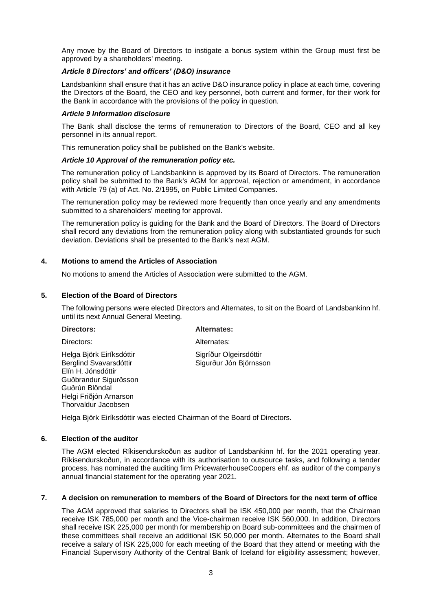Any move by the Board of Directors to instigate a bonus system within the Group must first be approved by a shareholders' meeting.

## *Article 8 Directors' and officers' (D&O) insurance*

Landsbankinn shall ensure that it has an active D&O insurance policy in place at each time, covering the Directors of the Board, the CEO and key personnel, both current and former, for their work for the Bank in accordance with the provisions of the policy in question.

### *Article 9 Information disclosure*

The Bank shall disclose the terms of remuneration to Directors of the Board, CEO and all key personnel in its annual report.

This remuneration policy shall be published on the Bank's website.

## *Article 10 Approval of the remuneration policy etc.*

The remuneration policy of Landsbankinn is approved by its Board of Directors. The remuneration policy shall be submitted to the Bank's AGM for approval, rejection or amendment, in accordance with Article 79 (a) of Act. No. 2/1995, on Public Limited Companies.

The remuneration policy may be reviewed more frequently than once yearly and any amendments submitted to a shareholders' meeting for approval.

The remuneration policy is guiding for the Bank and the Board of Directors. The Board of Directors shall record any deviations from the remuneration policy along with substantiated grounds for such deviation. Deviations shall be presented to the Bank's next AGM.

# **4. Motions to amend the Articles of Association**

No motions to amend the Articles of Association were submitted to the AGM.

## **5. Election of the Board of Directors**

The following persons were elected Directors and Alternates, to sit on the Board of Landsbankinn hf. until its next Annual General Meeting.

| Directors:                                                                                                                                                           | <b>Alternates:</b>                               |
|----------------------------------------------------------------------------------------------------------------------------------------------------------------------|--------------------------------------------------|
| Directors:                                                                                                                                                           | Alternates:                                      |
| Helga Björk Eiríksdóttir<br>Berglind Svavarsdóttir<br>Elín H. Jónsdóttir<br>Guðbrandur Sigurðsson<br>Guðrún Blöndal<br>Helgi Friðjón Arnarson<br>Thorvaldur Jacobsen | Sigríður Olgeirsdóttir<br>Sigurður Jón Björnsson |

Helga Björk Eiríksdóttir was elected Chairman of the Board of Directors.

# **6. Election of the auditor**

The AGM elected Ríkisendurskoðun as auditor of Landsbankinn hf. for the 2021 operating year. Ríkisendurskoðun, in accordance with its authorisation to outsource tasks, and following a tender process, has nominated the auditing firm PricewaterhouseCoopers ehf. as auditor of the company's annual financial statement for the operating year 2021.

## **7. A decision on remuneration to members of the Board of Directors for the next term of office**

The AGM approved that salaries to Directors shall be ISK 450,000 per month, that the Chairman receive ISK 785,000 per month and the Vice-chairman receive ISK 560,000. In addition, Directors shall receive ISK 225,000 per month for membership on Board sub-committees and the chairmen of these committees shall receive an additional ISK 50,000 per month. Alternates to the Board shall receive a salary of ISK 225,000 for each meeting of the Board that they attend or meeting with the Financial Supervisory Authority of the Central Bank of Iceland for eligibility assessment; however,